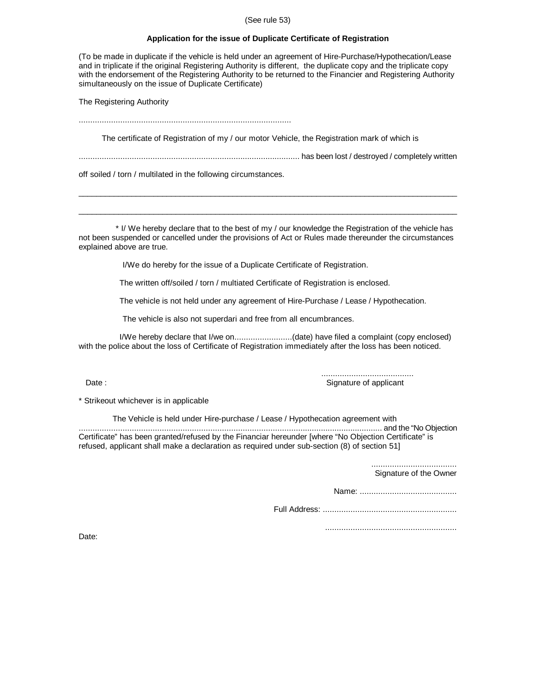## (See rule 53)

## **Application for the issue of Duplicate Certificate of Registration**

(To be made in duplicate if the vehicle is held under an agreement of Hire-Purchase/Hypothecation/Lease and in triplicate if the original Registering Authority is different, the duplicate copy and the triplicate copy with the endorsement of the Registering Authority to be returned to the Financier and Registering Authority simultaneously on the issue of Duplicate Certificate)

The Registering Authority

............................................................................................

The certificate of Registration of my / our motor Vehicle, the Registration mark of which is

................................................................................................ has been lost / destroyed / completely written

\_\_\_\_\_\_\_\_\_\_\_\_\_\_\_\_\_\_\_\_\_\_\_\_\_\_\_\_\_\_\_\_\_\_\_\_\_\_\_\_\_\_\_\_\_\_\_\_\_\_\_\_\_\_\_\_\_\_\_\_\_\_\_\_\_\_\_\_\_\_\_\_\_\_\_\_\_\_\_\_\_\_\_\_\_\_

 $\_$  ,  $\_$  ,  $\_$  ,  $\_$  ,  $\_$  ,  $\_$  ,  $\_$  ,  $\_$  ,  $\_$  ,  $\_$  ,  $\_$  ,  $\_$  ,  $\_$  ,  $\_$  ,  $\_$  ,  $\_$  ,  $\_$  ,  $\_$  ,  $\_$  ,  $\_$  ,  $\_$  ,  $\_$  ,  $\_$  ,  $\_$  ,  $\_$  ,  $\_$  ,  $\_$  ,  $\_$  ,  $\_$  ,  $\_$  ,  $\_$  ,  $\_$  ,  $\_$  ,  $\_$  ,  $\_$  ,  $\_$  ,  $\_$  ,

off soiled / torn / multilated in the following circumstances.

 \* I/ We hereby declare that to the best of my / our knowledge the Registration of the vehicle has not been suspended or cancelled under the provisions of Act or Rules made thereunder the circumstances explained above are true.

I/We do hereby for the issue of a Duplicate Certificate of Registration.

The written off/soiled / torn / multiated Certificate of Registration is enclosed.

The vehicle is not held under any agreement of Hire-Purchase / Lease / Hypothecation.

The vehicle is also not superdari and free from all encumbrances.

 I/We hereby declare that I/we on.........................(date) have filed a complaint (copy enclosed) with the police about the loss of Certificate of Registration immediately after the loss has been noticed.

 ........................................ Signature of applicant

\* Strikeout whichever is in applicable

 The Vehicle is held under Hire-purchase / Lease / Hypothecation agreement with .................................................................................................................................... and the "No Objection Certificate" has been granted/refused by the Financiar hereunder [where "No Objection Certificate" is refused, applicant shall make a declaration as required under sub-section (8) of section 51]

> ..................................... Signature of the Owner

Name: ..........................................

Full Address: ..........................................................

.........................................................

Date: